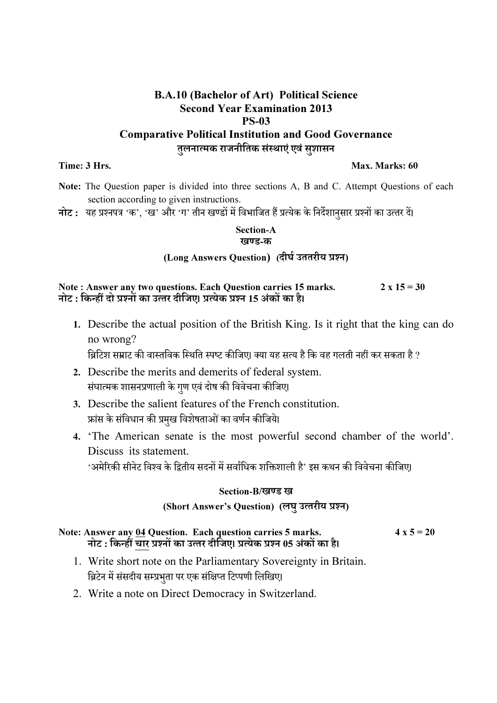## B.A.10 (Bachelor of Art) Political Science Second Year Examination 2013 PS-03 Comparative Political Institution and Good Governance तुलनात्मक राजनीतिक संस्थाएं एवं सुशासन

#### Time: 3 Hrs. Max. Marks: 60

- Note: The Question paper is divided into three sections A, B and C. Attempt Questions of each section according to given instructions.
- नोट : यह प्रश्नपत्र 'क', 'ख' और 'ग' तीन खण्डों में विभाजित हैं प्रत्येक के निर्देशानुसार प्रश्नों का उत्तर दें।

#### Section-A खण्ड-क

### (Long Answers Question) (दीर्घ उततरीय प्रश्न)

Note : Answer any two questions. Each Question carries 15 marks.  $2 \times 15 = 30$ नोट : किन्हीं दो प्रश्नों का उत्तर दीजिए। प्रत्येक प्रश्न 15 अंकों का है।

1. Describe the actual position of the British King. Is it right that the king can do no wrong?

ब्रिटिश सम्राट की वास्तविक स्थिति स्पष्ट कीजिए। क्या यह सत्य है कि वह गलती नहीं कर सकता है ?

- 2. Describe the merits and demerits of federal system. संघात्मक शासनप्रणाली के गुण एवं दोष की विवेचना कीजिए।
- 3. Describe the salient features of the French constitution. फ्रांस के संविधान की प्रमुख विशेषताओं का वर्णन कीजिये।
- 4. 'The American senate is the most powerful second chamber of the world'. Discuss its statement. 'अमेरिकी सीनेट विश्व के द्वितीय सदनों में सर्वाधिक शक्तिशाली है' इस कथन की विवेचना कीजिए।

#### Section-B/खण्ड ख

#### (Short Answer's Question) (लघु उत्तरीय प्रश्न)

#### Note: Answer any  $\underline{04}$  Question. Each question carries 5 marks.  $4 \times 5 = 20$ नोट : किन्हीं चार प्रश्नों का उत्तर दीजिए। प्रत्येक प्रश्न 05 अंकों का है।

- 1. Write short note on the Parliamentary Sovereignty in Britain. ब्रिटेन में संसदीय सम्प्रभुता पर एक संक्षिप्त टिप्पणी लिखिए।
- 2. Write a note on Direct Democracy in Switzerland.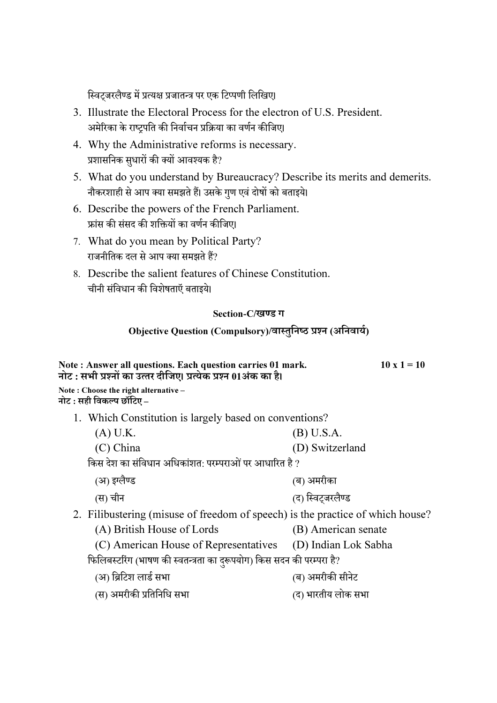स्विट्जरलैण्ड में प्रत्यक्ष प्रजातन्त्र पर एक टिप्पणी लिखिए।

- 3. Illustrate the Electoral Process for the electron of U.S. President. अमेरिका के राष्ट्रपति की निर्वाचन प्रक्रिया का वर्णन कीजिए।
- 4. Why the Administrative reforms is necessary. प्रशासनिक सुधारों की क्यों आवश्यक है?
- 5. What do you understand by Bureaucracy? Describe its merits and demerits. नौकरशाही से आप क्या समझते हैं। उसके गुण एवं दोषों को बताइये।
- 6. Describe the powers of the French Parliament. फ्रांस की संसद की शक्तियों का वर्णन कीजिए।
- 7. What do you mean by Political Party? राजनीतिक दल से आप क्या समझते हैं?
- 8. Describe the salient features of Chinese Constitution. चीनी संविधान की विशेषताएँ बताइये।

#### Section-C/खण्ड ग

# Objective Question (Compulsory)/वास्तुनिष्ठ प्रश्न (अनिवार्य)

| Note: Answer all questions. Each question carries 01 mark.<br>नोट : सभी प्रश्नों का उत्तर दीजिए। प्रत्येक प्रश्न 01अंक का है। | $10 \times 1 = 10$ |
|-------------------------------------------------------------------------------------------------------------------------------|--------------------|
| Note: Choose the right alternative $-$                                                                                        |                    |

नोट : सही विकल्प छॉटिए –

- 1. Which Constitution is largely based on conventions?
	- (A) U.K. (B) U.S.A.
	- (C) China (D) Switzerland

किस देश का संविधान अधिकांशत<sup>.</sup> परम्पराओं पर आधारित है ?

- (अ) इJ लै ड (ब) अमरीका
- (स) चीन (द) रिवटजरलैण्ड
- 2. Filibustering (misuse of freedom of speech) is the practice of which house?
	- (A) British House of Lords (B) American senate

(C) American House of Representatives (D) Indian Lok Sabha

# फिलिबस्टरिंग (भाषण की स्वतन्त्रता का दुरूपयोग) किस सदन की परम्परा है?

- (अ) ब्रिटिश लार्ड सभा (ब) अमरीकी सीनेट
- (स) अमरीकी प्रतिनिधि सभा (स) अगरतीय लोक सभा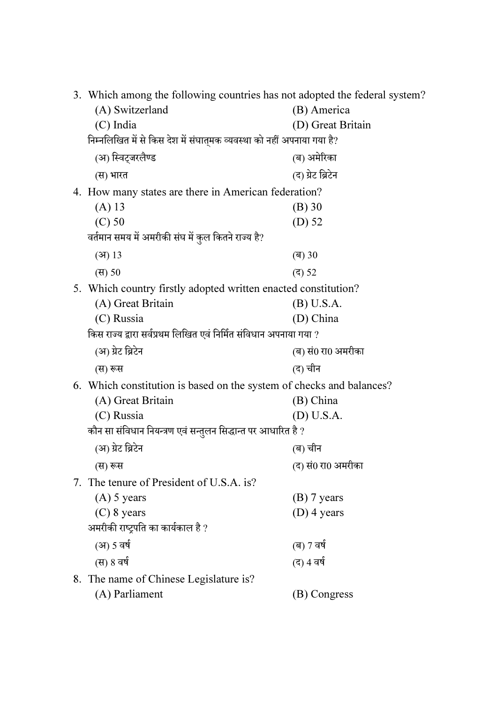| 3. Which among the following countries has not adopted the federal system? |                    |  |
|----------------------------------------------------------------------------|--------------------|--|
| (A) Switzerland                                                            | (B) America        |  |
| (C) India                                                                  | (D) Great Britain  |  |
| निम्नलिखित में से किस देश में संघात्मक व्यवस्था को नहीं अपनाया गया है?     |                    |  |
| (अ) स्विट्जरलैण्ड                                                          | (ब) अमेरिका        |  |
| (स) भारत                                                                   | (द) ग्रेट ब्रिटेन  |  |
| 4. How many states are there in American federation?                       |                    |  |
| $(A)$ 13                                                                   | (B) 30             |  |
| $(C)$ 50                                                                   | $(D)$ 52           |  |
| वर्तमान समय में अमरीकी संघ में कुल कितने राज्य है?                         |                    |  |
| (3)13                                                                      | (ब) 30             |  |
| (स) 50                                                                     | (द) 52             |  |
| 5. Which country firstly adopted written enacted constitution?             |                    |  |
| (A) Great Britain                                                          | (B) U.S.A.         |  |
| (C) Russia                                                                 | (D) China          |  |
| किस राज्य द्वारा सर्वप्रथम लिखित एवं निर्मित संविधान अपनाया गया ?          |                    |  |
| (अ) ग्रेट ब्रिटेन                                                          | (ब) सं0 रा0 अमरीका |  |
| (स) रूस                                                                    | (द) चीन            |  |
| 6. Which constitution is based on the system of checks and balances?       |                    |  |
| (A) Great Britain                                                          | (B) China          |  |
| (C) Russia                                                                 | (D) U.S.A.         |  |
| कौन सा संविधान नियन्त्रण एवं सन्तुलन सिद्धान्त पर आधारित है ?              |                    |  |
| (अ) ग्रेट ब्रिटेन                                                          | (ब) चीन            |  |
| (स) रूस                                                                    | (द) सं0 रा0 अमरीका |  |
| 7. The tenure of President of U.S.A. is?                                   |                    |  |
| $(A)$ 5 years                                                              | $(B)$ 7 years      |  |
| $(C)$ 8 years                                                              | $(D)$ 4 years      |  |
| अमरीकी राष्ट्रपति का कार्यकाल है ?                                         |                    |  |
| (अ) 5 वर्ष                                                                 | (ब) 7 वर्ष         |  |
| (स) 8 वर्ष                                                                 | (द) 4 वर्ष         |  |
| 8. The name of Chinese Legislature is?                                     |                    |  |
| (A) Parliament                                                             | (B) Congress       |  |